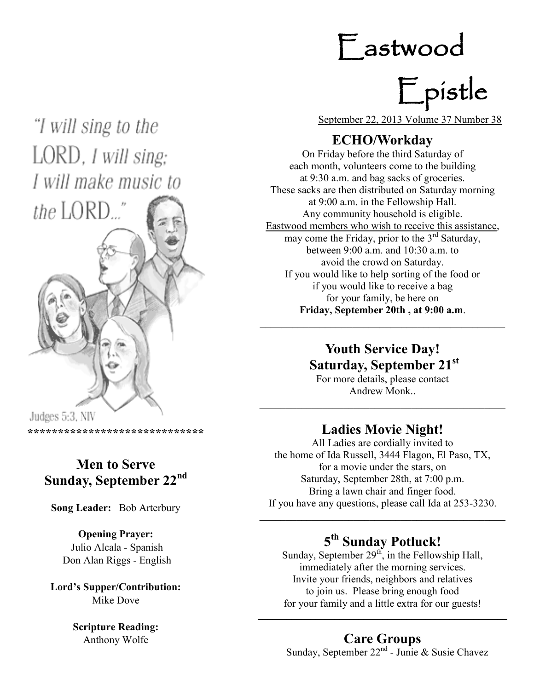# Eastwood

# Epistle

"I will sing to the LORD, I will sing; I will make music to



**\*\*\*\*\*\*\*\*\*\*\*\*\*\*\*\*\*\*\*\*\*\*\*\*\*\*\*\*\***

### **Men to Serve Sunday, September 22nd**

**Song Leader:** Bob Arterbury

### **Opening Prayer:** Julio Alcala - Spanish Don Alan Riggs - English

**Lord's Supper/Contribution:**  Mike Dove

### **Scripture Reading:**  Anthony Wolfe

September 22, 2013 Volume 37 Number 38

### **ECHO/Workday**

On Friday before the third Saturday of each month, volunteers come to the building at 9:30 a.m. and bag sacks of groceries. These sacks are then distributed on Saturday morning at 9:00 a.m. in the Fellowship Hall. Any community household is eligible. Eastwood members who wish to receive this assistance, may come the Friday, prior to the  $3<sup>rd</sup>$  Saturday, between 9:00 a.m. and 10:30 a.m. to avoid the crowd on Saturday. If you would like to help sorting of the food or if you would like to receive a bag for your family, be here on **Friday, September 20th , at 9:00 a.m**.

### **Youth Service Day! Saturday, September 21st**

For more details, please contact Andrew Monk..

### **Ladies Movie Night!**

 $\mathcal{L}_\text{max}$  , and the contract of the contract of the contract of the contract of the contract of the contract of the contract of the contract of the contract of the contract of the contract of the contract of the contr

All Ladies are cordially invited to the home of Ida Russell, 3444 Flagon, El Paso, TX, for a movie under the stars, on Saturday, September 28th, at 7:00 p.m. Bring a lawn chair and finger food. If you have any questions, please call Ida at 253-3230.

### **5 th Sunday Potluck!**

**\_\_\_\_\_\_\_\_\_\_\_\_\_\_\_\_\_\_\_\_\_\_\_\_\_\_\_\_\_\_\_\_\_\_\_\_\_\_\_\_\_\_\_\_\_\_\_**

Sunday, September  $29<sup>th</sup>$ , in the Fellowship Hall, immediately after the morning services. Invite your friends, neighbors and relatives to join us. Please bring enough food for your family and a little extra for our guests!

\_\_\_\_\_\_\_\_\_\_\_\_\_\_\_\_\_\_\_\_\_\_\_\_\_\_\_\_\_\_\_\_\_\_\_\_\_\_\_\_\_\_\_\_\_\_\_\_\_\_\_\_

**Care Groups** Sunday, September  $22<sup>nd</sup>$  - Junie & Susie Chavez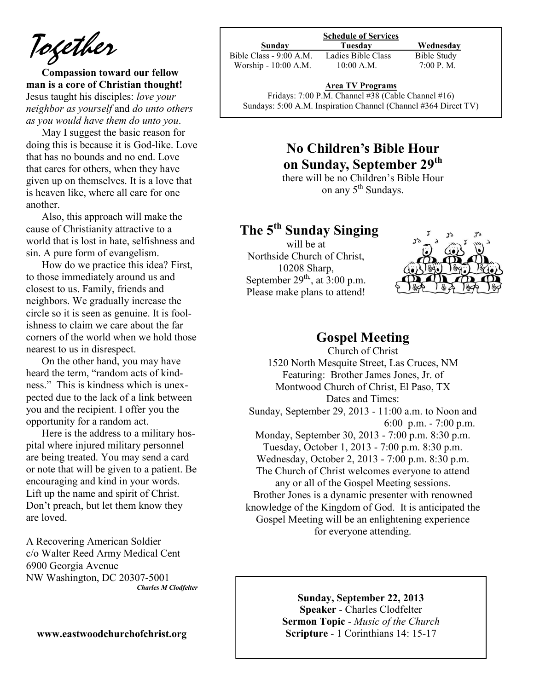*Together*

**Compassion toward our fellow man is a core of Christian thought!** Jesus taught his disciples: *love your neighbor as yourself* and *do unto others as you would have them do unto you*.

May I suggest the basic reason for doing this is because it is God-like. Love that has no bounds and no end. Love that cares for others, when they have given up on themselves. It is a love that is heaven like, where all care for one another.

Also, this approach will make the cause of Christianity attractive to a world that is lost in hate, selfishness and sin. A pure form of evangelism.

How do we practice this idea? First, to those immediately around us and closest to us. Family, friends and neighbors. We gradually increase the circle so it is seen as genuine. It is foolishness to claim we care about the far corners of the world when we hold those nearest to us in disrespect.

On the other hand, you may have heard the term, "random acts of kindness." This is kindness which is unexpected due to the lack of a link between you and the recipient. I offer you the opportunity for a random act.

Here is the address to a military hospital where injured military personnel are being treated. You may send a card or note that will be given to a patient. Be encouraging and kind in your words. Lift up the name and spirit of Christ. Don't preach, but let them know they are loved.

A Recovering American Soldier c/o Walter Reed Army Medical Cent 6900 Georgia Avenue NW Washington, DC 20307-5001 *Charles M Clodfelter*

#### **www.eastwoodchurchofchrist.org**

| <b>Schedule of Services</b> |                    |             |
|-----------------------------|--------------------|-------------|
| Sunday                      | Tuesdav            | Wednesday   |
| Bible Class - 9:00 A.M.     | Ladies Bible Class | Bible Study |
| Worship - 10:00 A.M.        | $10:00$ A.M.       | 7:00 P. M.  |

**Area TV Programs**

Area TV Programs<br>Fridays: 7:00 P.M. Channel #38 (Cable Channel #16) Sundays: 5:00 A.M. Inspiration Channel (Channel #364 Direct TV)

### **No Children's Bible Hour on Sunday, September 29th**

there will be no Children's Bible Hour on any 5<sup>th</sup> Sundays.

### **The 5th Sunday Singing**

will be at Northside Church of Christ, 10208 Sharp, September  $29<sup>th</sup>$ , at  $3:00$  p.m. Please make plans to attend!



### **Gospel Meeting**

Church of Christ 1520 North Mesquite Street, Las Cruces, NM Featuring: Brother James Jones, Jr. of Montwood Church of Christ, El Paso, TX Dates and Times: Sunday, September 29, 2013 - 11:00 a.m. to Noon and 6:00 p.m. - 7:00 p.m. Monday, September 30, 2013 - 7:00 p.m. 8:30 p.m. Tuesday, October 1, 2013 - 7:00 p.m. 8:30 p.m. Wednesday, October 2, 2013 - 7:00 p.m. 8:30 p.m. The Church of Christ welcomes everyone to attend any or all of the Gospel Meeting sessions. Brother Jones is a dynamic presenter with renowned knowledge of the Kingdom of God. It is anticipated the Gospel Meeting will be an enlightening experience for everyone attending.

#### **Sunday, September 22, 2013**

**Speaker** - Charles Clodfelter **Sermon Topic** - *Music of the Church* **Scripture** - 1 Corinthians 14: 15-17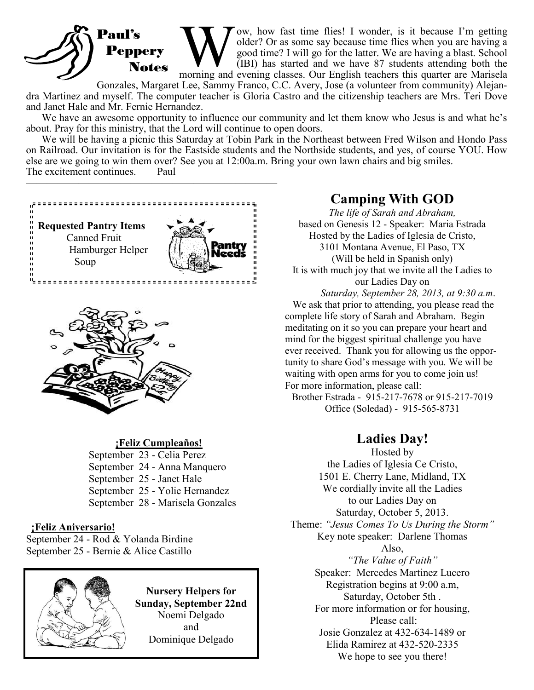### Paul's Peppery Notes

W Tow, how fast time flies! I wonder, is it because I'm getting older? Or as some say because time flies when you are having a good time? I will go for the latter. We are having a blast. School (IBI) has started and we hav ow, how fast time flies! I wonder, is it because I'm getting older? Or as some say because time flies when you are having a good time? I will go for the latter. We are having a blast. School (IBI) has started and we have 87 students attending both the

Gonzales, Margaret Lee, Sammy Franco, C.C. Avery, Jose (a volunteer from community) Alejandra Martinez and myself. The computer teacher is Gloria Castro and the citizenship teachers are Mrs. Teri Dove and Janet Hale and Mr. Fernie Hernandez.

We have an awesome opportunity to influence our community and let them know who Jesus is and what he's about. Pray for this ministry, that the Lord will continue to open doors.

We will be having a picnic this Saturday at Tobin Park in the Northeast between Fred Wilson and Hondo Pass on Railroad. Our invitation is for the Eastside students and the Northside students, and yes, of course YOU. How else are we going to win them over? See you at 12:00a.m. Bring your own lawn chairs and big smiles. The excitement continues. Paul



————————————————————————



#### **¡Feliz Cumpleaños!**

September 23 - Celia Perez September 24 - Anna Manquero September 25 - Janet Hale September 25 - Yolie Hernandez September 28 - Marisela Gonzales

#### **¡Feliz Aniversario!**

September 24 - Rod & Yolanda Birdine September 25 - Bernie & Alice Castillo



**Nursery Helpers for Sunday, September 22nd**  Noemi Delgado and Dominique Delgado

### **Camping With GOD**

*The life of Sarah and Abraham,*  based on Genesis 12 - Speaker: Maria Estrada Hosted by the Ladies of Iglesia de Cristo, 3101 Montana Avenue, El Paso, TX (Will be held in Spanish only) It is with much joy that we invite all the Ladies to our Ladies Day on *Saturday, September 28, 2013, at 9:30 a.m*. We ask that prior to attending, you please read the complete life story of Sarah and Abraham. Begin meditating on it so you can prepare your heart and mind for the biggest spiritual challenge you have ever received. Thank you for allowing us the oppor-

tunity to share God's message with you. We will be waiting with open arms for you to come join us! For more information, please call:

Brother Estrada - 915-217-7678 or 915-217-7019 Office (Soledad) - 915-565-8731

### **Ladies Day!**

Hosted by the Ladies of Iglesia Ce Cristo, 1501 E. Cherry Lane, Midland, TX We cordially invite all the Ladies to our Ladies Day on Saturday, October 5, 2013. Theme: *"Jesus Comes To Us During the Storm"* Key note speaker: Darlene Thomas Also, *"The Value of Faith"* Speaker: Mercedes Martinez Lucero Registration begins at 9:00 a.m, Saturday, October 5th . For more information or for housing, Please call: Josie Gonzalez at 432-634-1489 or Elida Ramirez at 432-520-2335 We hope to see you there!